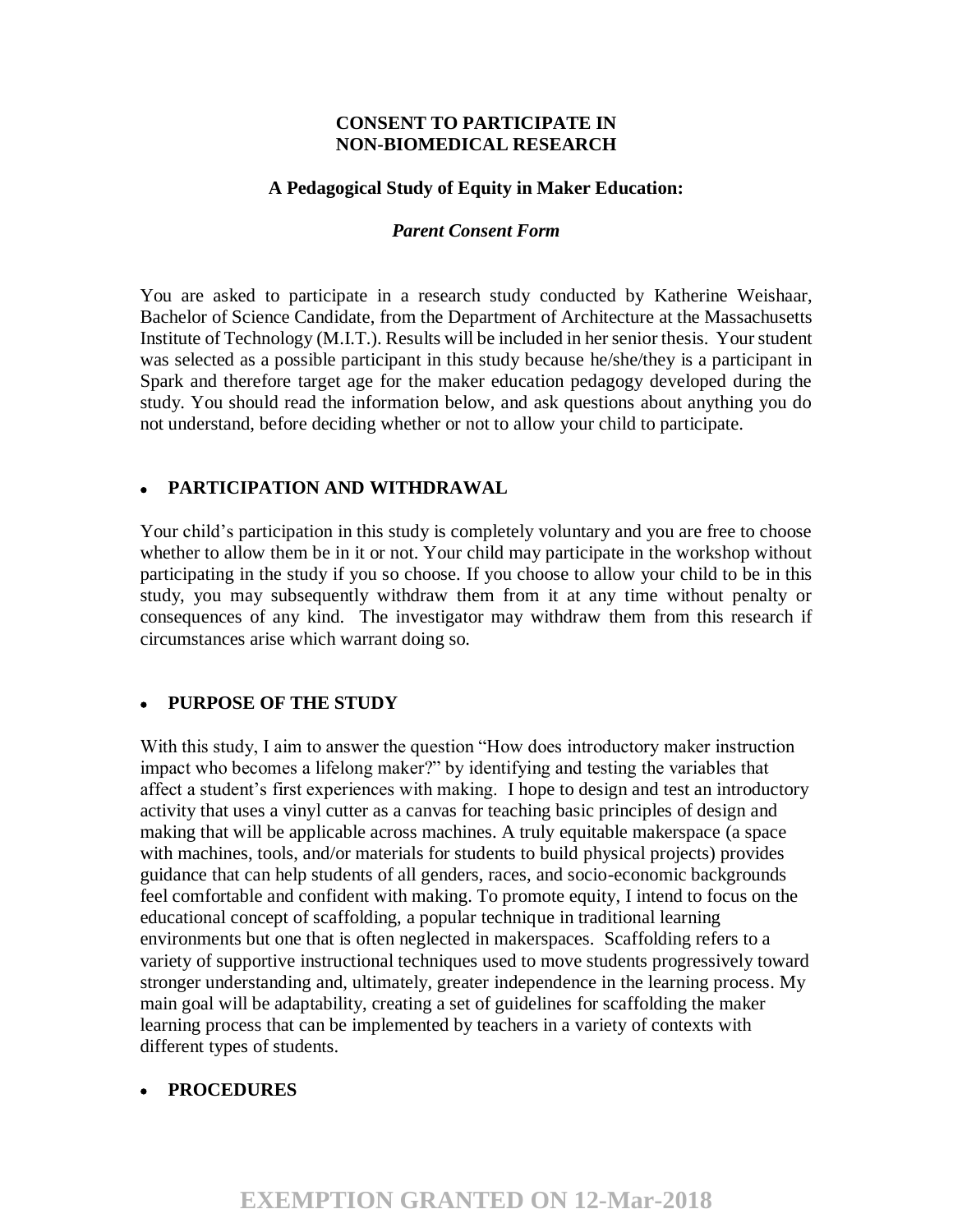#### **CONSENT TO PARTICIPATE IN NON-BIOMEDICAL RESEARCH**

#### **A Pedagogical Study of Equity in Maker Education:**

#### *Parent Consent Form*

You are asked to participate in a research study conducted by Katherine Weishaar, Bachelor of Science Candidate, from the Department of Architecture at the Massachusetts Institute of Technology (M.I.T.). Results will be included in her senior thesis. Your student was selected as a possible participant in this study because he/she/they is a participant in Spark and therefore target age for the maker education pedagogy developed during the study. You should read the information below, and ask questions about anything you do not understand, before deciding whether or not to allow your child to participate.

## • **PARTICIPATION AND WITHDRAWAL**

Your child's participation in this study is completely voluntary and you are free to choose whether to allow them be in it or not. Your child may participate in the workshop without participating in the study if you so choose. If you choose to allow your child to be in this study, you may subsequently withdraw them from it at any time without penalty or consequences of any kind. The investigator may withdraw them from this research if circumstances arise which warrant doing so.

## • **PURPOSE OF THE STUDY**

With this study, I aim to answer the question "How does introductory maker instruction impact who becomes a lifelong maker?" by identifying and testing the variables that affect a student's first experiences with making. I hope to design and test an introductory activity that uses a vinyl cutter as a canvas for teaching basic principles of design and making that will be applicable across machines. A truly equitable makerspace (a space with machines, tools, and/or materials for students to build physical projects) provides guidance that can help students of all genders, races, and socio-economic backgrounds feel comfortable and confident with making. To promote equity, I intend to focus on the educational concept of scaffolding, a popular technique in traditional learning environments but one that is often neglected in makerspaces. Scaffolding refers to a variety of supportive instructional techniques used to move students progressively toward stronger understanding and, ultimately, greater independence in the learning process. My main goal will be adaptability, creating a set of guidelines for scaffolding the maker learning process that can be implemented by teachers in a variety of contexts with different types of students.

## • **PROCEDURES**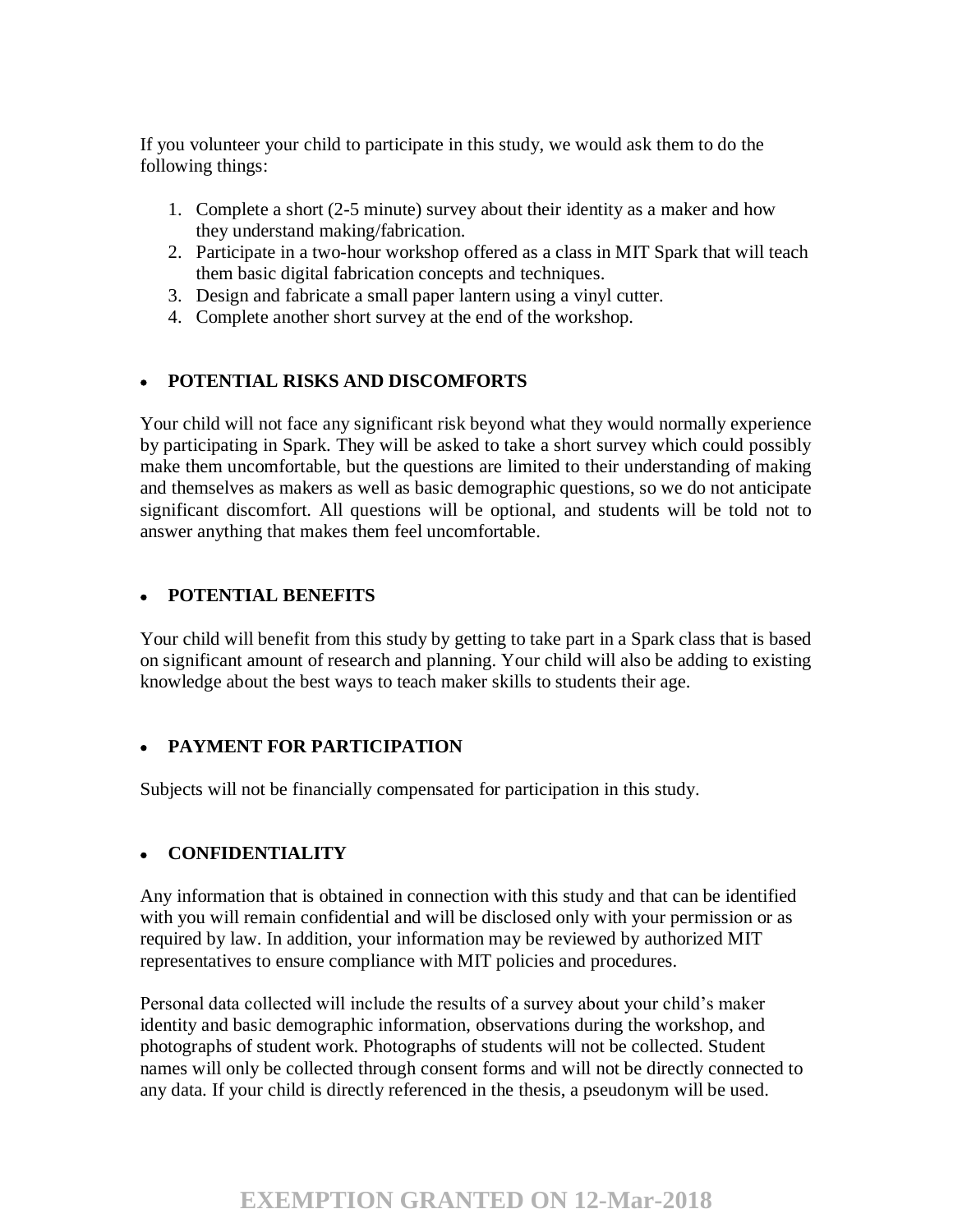If you volunteer your child to participate in this study, we would ask them to do the following things:

- 1. Complete a short (2-5 minute) survey about their identity as a maker and how they understand making/fabrication.
- 2. Participate in a two-hour workshop offered as a class in MIT Spark that will teach them basic digital fabrication concepts and techniques.
- 3. Design and fabricate a small paper lantern using a vinyl cutter.
- 4. Complete another short survey at the end of the workshop.

# • **POTENTIAL RISKS AND DISCOMFORTS**

Your child will not face any significant risk beyond what they would normally experience by participating in Spark. They will be asked to take a short survey which could possibly make them uncomfortable, but the questions are limited to their understanding of making and themselves as makers as well as basic demographic questions, so we do not anticipate significant discomfort. All questions will be optional, and students will be told not to answer anything that makes them feel uncomfortable.

## • **POTENTIAL BENEFITS**

Your child will benefit from this study by getting to take part in a Spark class that is based on significant amount of research and planning. Your child will also be adding to existing knowledge about the best ways to teach maker skills to students their age.

## • **PAYMENT FOR PARTICIPATION**

Subjects will not be financially compensated for participation in this study.

## • **CONFIDENTIALITY**

Any information that is obtained in connection with this study and that can be identified with you will remain confidential and will be disclosed only with your permission or as required by law. In addition, your information may be reviewed by authorized MIT representatives to ensure compliance with MIT policies and procedures.

Personal data collected will include the results of a survey about your child's maker identity and basic demographic information, observations during the workshop, and photographs of student work. Photographs of students will not be collected. Student names will only be collected through consent forms and will not be directly connected to any data. If your child is directly referenced in the thesis, a pseudonym will be used.

# **EXEMPTION GRANTED ON 12-Mar-2018**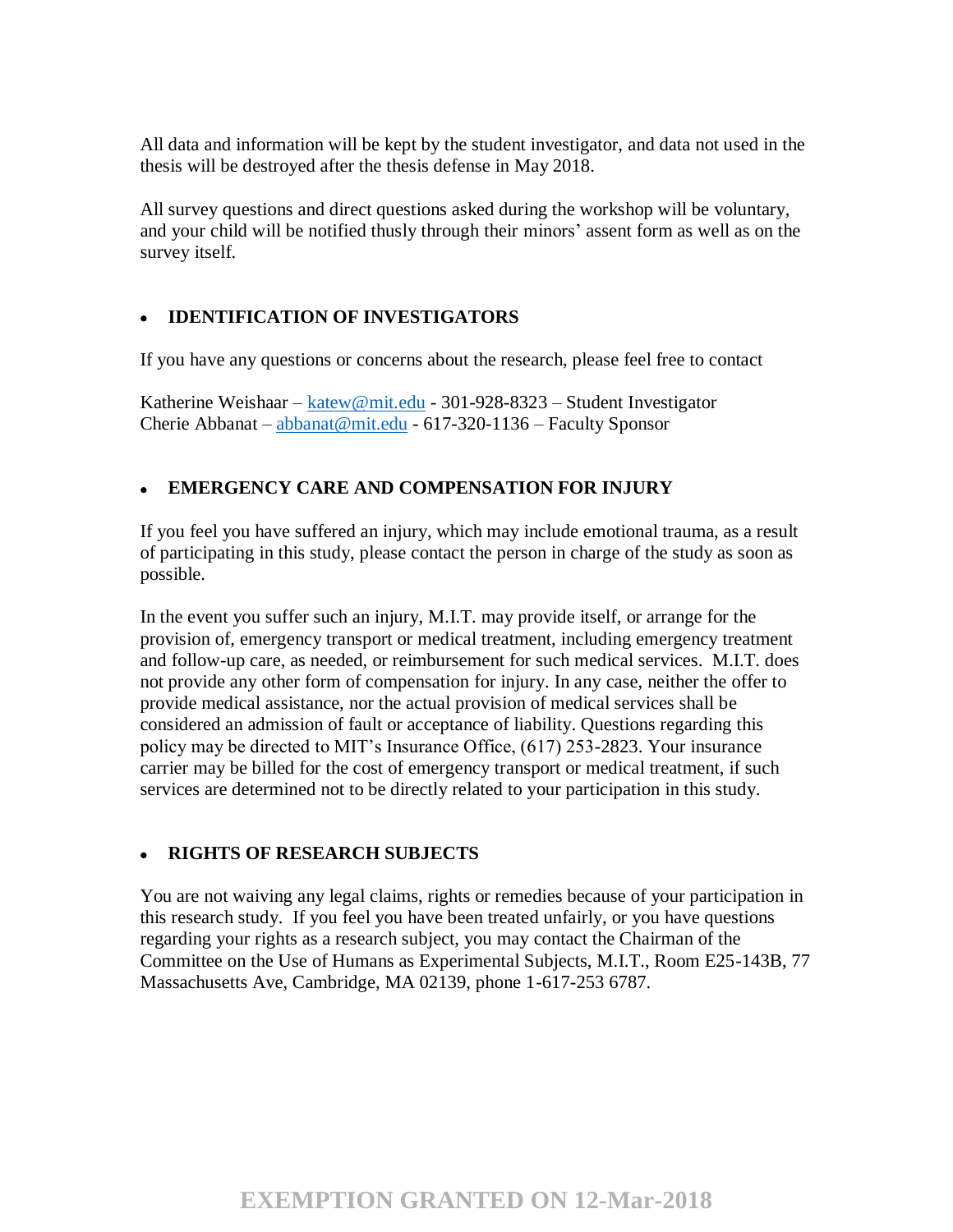All data and information will be kept by the student investigator, and data not used in the thesis will be destroyed after the thesis defense in May 2018.

All survey questions and direct questions asked during the workshop will be voluntary, and your child will be notified thusly through their minors' assent form as well as on the survey itself.

# • **IDENTIFICATION OF INVESTIGATORS**

If you have any questions or concerns about the research, please feel free to contact

Katherine Weishaar – katew@mit.edu - 301-928-8323 – Student Investigator Cherie Abbanat – abbanat@mit.edu - 617-320-1136 – Faculty Sponsor

## • **EMERGENCY CARE AND COMPENSATION FOR INJURY**

If you feel you have suffered an injury, which may include emotional trauma, as a result of participating in this study, please contact the person in charge of the study as soon as possible.

In the event you suffer such an injury, M.I.T. may provide itself, or arrange for the provision of, emergency transport or medical treatment, including emergency treatment and follow-up care, as needed, or reimbursement for such medical services. M.I.T. does not provide any other form of compensation for injury. In any case, neither the offer to provide medical assistance, nor the actual provision of medical services shall be considered an admission of fault or acceptance of liability. Questions regarding this policy may be directed to MIT's Insurance Office, (617) 253-2823. Your insurance carrier may be billed for the cost of emergency transport or medical treatment, if such services are determined not to be directly related to your participation in this study.

## • **RIGHTS OF RESEARCH SUBJECTS**

You are not waiving any legal claims, rights or remedies because of your participation in this research study. If you feel you have been treated unfairly, or you have questions regarding your rights as a research subject, you may contact the Chairman of the Committee on the Use of Humans as Experimental Subjects, M.I.T., Room E25-143B, 77 Massachusetts Ave, Cambridge, MA 02139, phone 1-617-253 6787.